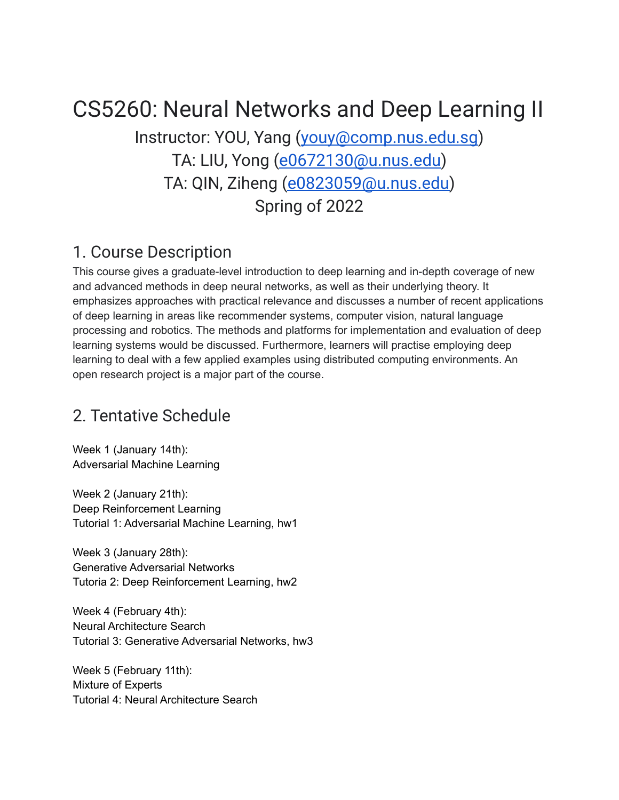# CS5260: Neural Networks and Deep Learning II

Instructor: YOU, Yang ([youy@comp.nus.edu.sg](mailto:youy@comp.nus.edu.sg)) TA: LIU, Yong [\(e0672130@u.nus.edu](mailto:e0672130@u.nus.edu)) TA: QIN, Ziheng [\(e0823059@u.nus.edu\)](mailto:e0823059@u.nus.edu) Spring of 2022

#### 1. Course Description

This course gives a graduate-level introduction to deep learning and in-depth coverage of new and advanced methods in deep neural networks, as well as their underlying theory. It emphasizes approaches with practical relevance and discusses a number of recent applications of deep learning in areas like recommender systems, computer vision, natural language processing and robotics. The methods and platforms for implementation and evaluation of deep learning systems would be discussed. Furthermore, learners will practise employing deep learning to deal with a few applied examples using distributed computing environments. An open research project is a major part of the course.

#### 2. Tentative Schedule

Week 1 (January 14th): Adversarial Machine Learning

Week 2 (January 21th): Deep Reinforcement Learning Tutorial 1: Adversarial Machine Learning, hw1

Week 3 (January 28th): Generative Adversarial Networks Tutoria 2: Deep Reinforcement Learning, hw2

Week 4 (February 4th): Neural Architecture Search Tutorial 3: Generative Adversarial Networks, hw3

Week 5 (February 11th): Mixture of Experts Tutorial 4: Neural Architecture Search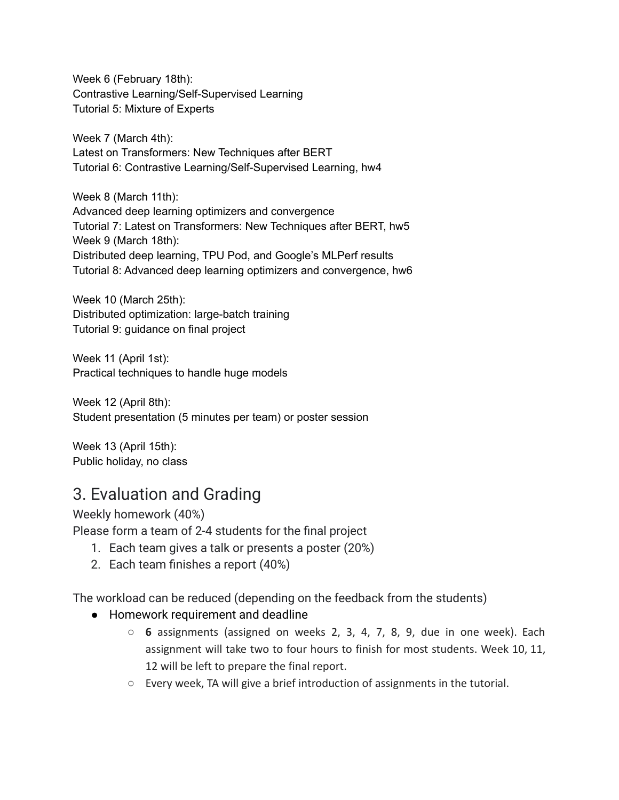Week 6 (February 18th): Contrastive Learning/Self-Supervised Learning Tutorial 5: Mixture of Experts

Week 7 (March 4th): Latest on Transformers: New Techniques after BERT Tutorial 6: Contrastive Learning/Self-Supervised Learning, hw4

Week 8 (March 11th): Advanced deep learning optimizers and convergence Tutorial 7: Latest on Transformers: New Techniques after BERT, hw5 Week 9 (March 18th): Distributed deep learning, TPU Pod, and Google's MLPerf results Tutorial 8: Advanced deep learning optimizers and convergence, hw6

Week 10 (March 25th): Distributed optimization: large-batch training Tutorial 9: guidance on final project

Week 11 (April 1st): Practical techniques to handle huge models

Week 12 (April 8th): Student presentation (5 minutes per team) or poster session

Week 13 (April 15th): Public holiday, no class

### 3. Evaluation and Grading

Weekly homework (40%)

Please form a team of 2-4 students for the final project

- 1. Each team gives a talk or presents a poster (20%)
- 2. Each team finishes a report (40%)

The workload can be reduced (depending on the feedback from the students)

- Homework requirement and deadline
	- **6** assignments (assigned on weeks 2, 3, 4, 7, 8, 9, due in one week). Each assignment will take two to four hours to finish for most students. Week 10, 11, 12 will be left to prepare the final report.
	- Every week, TA will give a brief introduction of assignments in the tutorial.